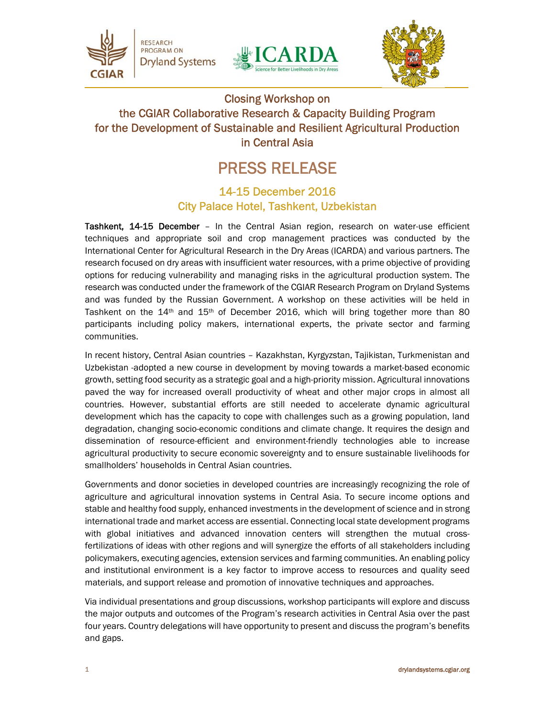





## Closing Workshop on the CGIAR Collaborative Research & Capacity Building Program for the Development of Sustainable and Resilient Agricultural Production in Central Asia

## PRESS RELEASE

## 14-15 December 2016 City Palace Hotel, Tashkent, Uzbekistan

Tashkent, 14-15 December – In the Central Asian region, research on water-use efficient techniques and appropriate soil and crop management practices was conducted by the International Center for Agricultural Research in the Dry Areas (ICARDA) and various partners. The research focused on dry areas with insufficient water resources, with a prime objective of providing options for reducing vulnerability and managing risks in the agricultural production system. The research was conducted under the framework of the CGIAR Research Program on Dryland Systems and was funded by the Russian Government. A workshop on these activities will be held in Tashkent on the  $14<sup>th</sup>$  and  $15<sup>th</sup>$  of December 2016, which will bring together more than 80 participants including policy makers, international experts, the private sector and farming communities.

In recent history, Central Asian countries – Kazakhstan, Kyrgyzstan, Tajikistan, Turkmenistan and Uzbekistan -adopted a new course in development by moving towards a market-based economic growth, setting food security as a strategic goal and a high-priority mission. Agricultural innovations paved the way for increased overall productivity of wheat and other major crops in almost all countries. However, substantial efforts are still needed to accelerate dynamic agricultural development which has the capacity to cope with challenges such as a growing population, land degradation, changing socio-economic conditions and climate change. It requires the design and dissemination of resource-efficient and environment-friendly technologies able to increase agricultural productivity to secure economic sovereignty and to ensure sustainable livelihoods for smallholders' households in Central Asian countries.

Governments and donor societies in developed countries are increasingly recognizing the role of agriculture and agricultural innovation systems in Central Asia. To secure income options and stable and healthy food supply*,* enhanced investments in the development of science and in strong international trade and market access are essential. Connecting local state development programs with global initiatives and advanced innovation centers will strengthen the mutual crossfertilizations of ideas with other regions and will synergize the efforts of all stakeholders including policymakers, executing agencies, extension services and farming communities. An enabling policy and institutional environment is a key factor to improve access to resources and quality seed materials, and support release and promotion of innovative techniques and approaches.

Via individual presentations and group discussions, workshop participants will explore and discuss the major outputs and outcomes of the Program's research activities in Central Asia over the past four years. Country delegations will have opportunity to present and discuss the program's benefits and gaps.